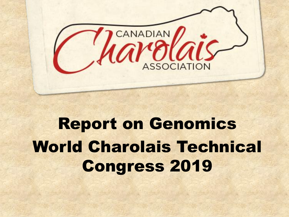

# Report on Genomics World Charolais Technical Congress 2019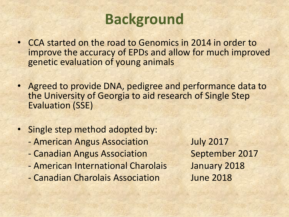# **Background**

- CCA started on the road to Genomics in 2014 in order to improve the accuracy of EPDs and allow for much improved genetic evaluation of young animals
- Agreed to provide DNA, pedigree and performance data to the University of Georgia to aid research of Single Step Evaluation (SSE)
- Single step method adopted by:
	- American Angus Association July 2017
	- Canadian Angus Association September 2017
	- American International Charolais January 2018
	- Canadian Charolais Association June 2018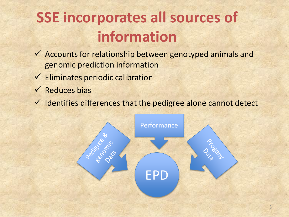# **SSE incorporates all sources of information**

- ✓ Accounts for relationship between genotyped animals and genomic prediction information
- $\checkmark$  Eliminates periodic calibration
- $\checkmark$  Reduces bias
- $\checkmark$  Identifies differences that the pedigree alone cannot detect

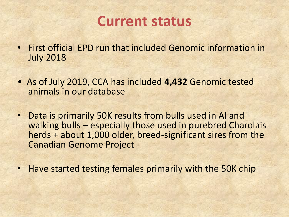

- First official EPD run that included Genomic information in July 2018
- As of July 2019, CCA has included **4,432** Genomic tested animals in our database
- Data is primarily 50K results from bulls used in AI and walking bulls – especially those used in purebred Charolais herds + about 1,000 older, breed-significant sires from the Canadian Genome Project
- Have started testing females primarily with the 50K chip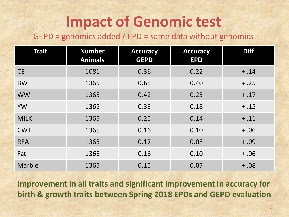# **Impact of Genomic test**

### GEPD = genomics added / EPD = same data without genomics

| <b>Trait</b>  | <b>Number</b><br><b>Animals</b> | <b>Accuracy</b><br><b>GEPD</b> | <b>Accuracy</b><br><b>EPD</b> | <b>Diff</b> |
|---------------|---------------------------------|--------------------------------|-------------------------------|-------------|
| <b>CE</b>     | 1081                            | 0.36                           | 0.22                          | $+.14$      |
| <b>BW</b>     | 1365                            | 0.65                           | 0.40                          | $+.25$      |
| <b>WW</b>     | 1365                            | 0.42                           | 0.25                          | $+.17$      |
| <b>YW</b>     | 1365                            | 0.33                           | 0.18                          | $+.15$      |
| <b>MILK</b>   | 1365                            | 0.25                           | 0.14                          | $+.11$      |
| <b>CWT</b>    | 1365                            | 0.16                           | 0.10                          | $+ .06$     |
| <b>REA</b>    | 1365                            | 0.17                           | 0.08                          | $+ .09$     |
| Fat           | 1365                            | 0.16                           | 0.10                          | $+ .06$     |
| <b>Marble</b> | 1365                            | 0.15                           | 0.07                          | $+ .08$     |

**Improvement in all traits and significant improvement in accuracy for birth & growth traits between Spring 2018 EPDs and GEPD evaluation**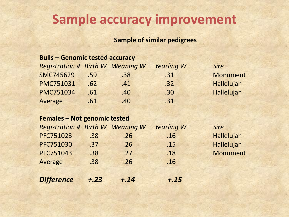## **Sample accuracy improvement**

#### **Sample of similar pedigrees**

#### **Bulls – Genomic tested accuracy**

| <b>Registration # Birth W Weaning W</b> |     |                  | <b>Yearling W</b> | <b>Sire</b>     |
|-----------------------------------------|-----|------------------|-------------------|-----------------|
| <b>SMC745629</b>                        | .59 | .38              | .31               | <b>Monument</b> |
| <b>PMC751031</b>                        | .62 | .41              | .32               | Hallelujah      |
| <b>PMC751034</b>                        | .61 | .40 <sub>1</sub> | .30               | Hallelujah      |
| Average                                 | .61 | .40 <sub>2</sub> | .31               |                 |

#### **Females – Not genomic tested**

| <b>Registration # Birth W Weaning W</b> |        |        | <b>Yearling W</b> | <b>Sire</b>     |
|-----------------------------------------|--------|--------|-------------------|-----------------|
| PFC751023                               | .38    | .26    | .16               | Hallelujah      |
| <b>PFC751030</b>                        | .37    | .26    | .15               | Hallelujah      |
| PFC751043                               | .38    | .27    | .18               | <b>Monument</b> |
| Average                                 | .38    | .26    | .16               |                 |
|                                         |        |        |                   |                 |
| <b>Difference</b>                       | $+.23$ | $+.14$ | $+.15$            |                 |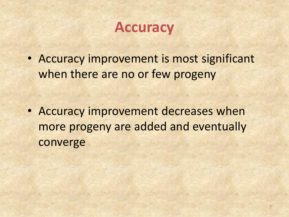## **Accuracy**

• Accuracy improvement is most significant when there are no or few progeny

• Accuracy improvement decreases when more progeny are added and eventually converge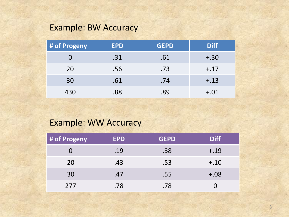## Example: BW Accuracy

| # of Progeny | <b>EPD</b> | <b>GEPD</b> | <b>Diff</b> |
|--------------|------------|-------------|-------------|
|              | .31        | .61         | $+.30$      |
| 20           | .56        | .73         | $+.17$      |
| 30           | .61        | .74         | $+.13$      |
| 430          | .88        | .89         | $+.01$      |

## Example: WW Accuracy

| # of Progeny | <b>EPD</b> | <b>GEPD</b> | <b>Diff</b> |
|--------------|------------|-------------|-------------|
|              | .19        | .38         | $+.19$      |
| 20           | .43        | .53         | $+.10$      |
| 30           | .47        | .55         | $+.08$      |
| 277          | .78        | .78         |             |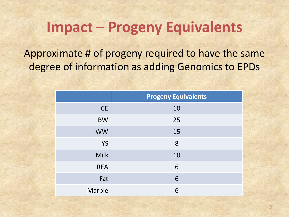## **Impact – Progeny Equivalents**

Approximate # of progeny required to have the same degree of information as adding Genomics to EPDs

|             | <b>Progeny Equivalents</b> |
|-------------|----------------------------|
| <b>CE</b>   | 10                         |
| <b>BW</b>   | 25                         |
| <b>WW</b>   | 15                         |
| <b>YS</b>   | 8                          |
| <b>Milk</b> | 10                         |
| <b>REA</b>  | 6                          |
| Fat         | 6                          |
| Marble      | 6                          |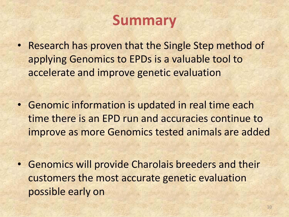# **Summary**

- Research has proven that the Single Step method of applying Genomics to EPDs is a valuable tool to accelerate and improve genetic evaluation
- Genomic information is updated in real time each time there is an EPD run and accuracies continue to improve as more Genomics tested animals are added
- Genomics will provide Charolais breeders and their customers the most accurate genetic evaluation possible early on